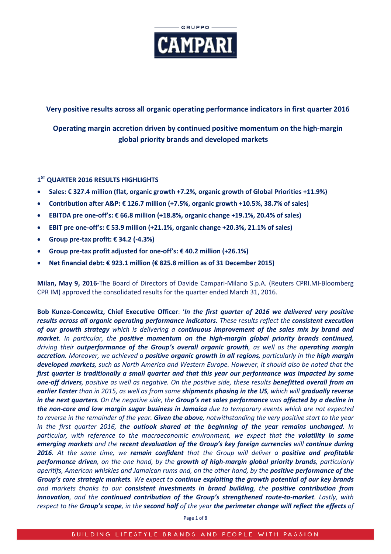

# **Very positive results across all organic operating performance indicators in first quarter 2016**

**Operating margin accretion driven by continued positive momentum on the high-margin global priority brands and developed markets**

## **1ST QUARTER 2016 RESULTS HIGHLIGHTS**

- **Sales: € 327.4 million (flat, organic growth +7.2%, organic growth of Global Priorities +11.9%)**
- **Contribution after A&P: € 126.7 million (+7.5%, organic growth +10.5%, 38.7% of sales)**
- **EBITDA pre one-off's: € 66.8 million (+18.8%, organic change +19.1%, 20.4% of sales)**
- **EBIT pre one-off's: € 53.9 million (+21.1%, organic change +20.3%, 21.1% of sales)**
- **Group pre-tax profit: € 34.2 (-4.3%)**
- **Group pre-tax profit adjusted for one-off's: € 40.2 million (+26.1%)**
- **Net financial debt: € 923.1 million (€ 825.8 million as of 31 December 2015)**

**Milan, May 9, 2016**-The Board of Directors of Davide Campari-Milano S.p.A. (Reuters CPRI.MI-Bloomberg CPR IM) approved the consolidated results for the quarter ended March 31, 2016.

**Bob Kunze-Concewitz, Chief Executive Officer**: '*In the first quarter of 2016 we delivered very positive results across all organic operating performance indicators. These results reflect the consistent execution of our growth strategy which is delivering a continuous improvement of the sales mix by brand and market. In particular, the positive momentum on the high-margin global priority brands continued, driving their outperformance of the Group's overall organic growth, as well as the operating margin accretion. Moreover, we achieved a positive organic growth in all regions, particularly in the high margin developed markets, such as North America and Western Europe. However, it should also be noted that the first quarter is traditionally a small quarter and that this year our performance was impacted by some one-off drivers, positive as well as negative. On the positive side, these results benefitted overall from an earlier Easter than in 2015, as well as from some shipments phasing in the US, which will gradually reverse in the next quarters. On the negative side, the Group's net sales performance was affected by a decline in the non-core and low margin sugar business in Jamaica due to temporary events which are not expected to reverse in the remainder of the year. Given the above, notwithstanding the very positive start to the year in the first quarter 2016, the outlook shared at the beginning of the year remains unchanged. In particular, with reference to the macroeconomic environment, we expect that the volatility in some emerging markets and the recent devaluation of the Group's key foreign currencies will continue during 2016. At the same time, we remain confident that the Group will deliver a positive and profitable performance driven, on the one hand, by the growth of high-margin global priority brands, particularly aperitifs, American whiskies and Jamaican rums and, on the other hand, by the positive performance of the Group's core strategic markets. We expect to continue exploiting the growth potential of our key brands and markets thanks to our consistent investments in brand building, the positive contribution from innovation, and the continued contribution of the Group's strengthened route-to-market. Lastly, with respect to the Group's scope, in the second half of the year the perimeter change will reflect the effects of* 

Page 1 of 8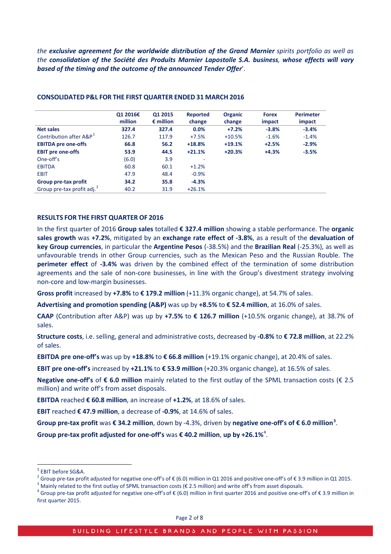*the exclusive agreement for the worldwide distribution of the Grand Marnier spirits portfolio as well as the consolidation of the Société des Produits Marnier Lapostolle S.A. business, whose effects will vary based of the timing and the outcome of the announced Tender Offer*'.

|                                        | Q1 2016€<br>million | 01 2015<br>$\epsilon$ million | <b>Reported</b><br>change | <b>Organic</b><br>change | <b>Forex</b><br>impact | <b>Perimeter</b><br>impact |
|----------------------------------------|---------------------|-------------------------------|---------------------------|--------------------------|------------------------|----------------------------|
| <b>Net sales</b>                       | 327.4               | 327.4                         | 0.0%                      | $+7.2%$                  | $-3.8%$                | $-3.4%$                    |
| Contribution after A&P <sup>1</sup>    | 126.7               | 117.9                         | $+7.5%$                   | $+10.5%$                 | $-1.6%$                | $-1.4%$                    |
| <b>EBITDA pre one-offs</b>             | 66.8                | 56.2                          | $+18.8%$                  | $+19.1%$                 | $+2.5%$                | $-2.9%$                    |
| <b>EBIT pre one-offs</b>               | 53.9                | 44.5                          | $+21.1%$                  | $+20.3%$                 | $+4.3%$                | $-3.5%$                    |
| One-off's                              | (6.0)               | 3.9                           | $\overline{\phantom{a}}$  |                          |                        |                            |
| <b>EBITDA</b>                          | 60.8                | 60.1                          | $+1.2%$                   |                          |                        |                            |
| <b>EBIT</b>                            | 47.9                | 48.4                          | $-0.9%$                   |                          |                        |                            |
| Group pre-tax profit                   | 34.2                | 35.8                          | $-4.3%$                   |                          |                        |                            |
| Group pre-tax profit adj. <sup>2</sup> | 40.2                | 31.9                          | $+26.1%$                  |                          |                        |                            |

#### **CONSOLIDATED P&L FOR THE FIRST QUARTER ENDED 31 MARCH 2016**

#### **RESULTS FOR THE FIRST QUARTER OF 2016**

In the first quarter of 2016 **Group sales** totalled **€ 327.4 million** showing a stable performance. The **organic sales growth** was **+7.2%**, mitigated by an **exchange rate effect of -3.8%**, as a result of the **devaluation of key Group currencies**, in particular the **Argentine Pesos** (-38.5%) and the **Brazilian Real** (-25.3%), as well as unfavourable trends in other Group currencies, such as the Mexican Peso and the Russian Rouble. The **perimeter effect** of **-3.4%** was driven by the combined effect of the termination of some distribution agreements and the sale of non-core businesses, in line with the Group's divestment strategy involving non-core and low-margin businesses.

**Gross profit** increased by **+7.8%** to **€ 179.2 million** (+11.3% organic change), at 54.7% of sales.

**Advertising and promotion spending (A&P)** was up by **+8.5%** to **€ 52.4 million**, at 16.0% of sales.

**CAAP** (Contribution after A&P) was up by **+7.5%** to **€ 126.7 million** (+10.5% organic change), at 38.7% of sales.

**Structure costs**, i.e. selling, general and administrative costs, decreased by **-0.8%** to **€ 72.8 million**, at 22.2% of sales.

**EBITDA pre one-off's** was up by  $+18.8\%$  to  $\epsilon$  66.8 million  $(+19.1\%$  organic change), at 20.4% of sales.

**EBIT pre one-off's** increased by **+21.1%** to **€ 53.9 million** (+20.3% organic change), at 16.5% of sales.

**Negative one-off's** of **€ 6.0 million** mainly related to the first outlay of the SPML transaction costs (€ 2.5 million) and write off's from asset disposals.

**EBITDA** reached **€ 60.8 million**, an increase of **+1.2%**, at 18.6% of sales.

**EBIT** reached **€ 47.9 million**, a decrease of **-0.9%**, at 14.6% of sales.

**Group pre-tax profit** was **€ 34.2 million**, down by -4.3%, driven by **negative one-off's of € 6.0 million[3](#page-1-2)** .

**Group pre-tax profit adjusted for one-off's** was **€ 40.2 million**, **up by +26.1%**[4](#page-1-3) .

<span id="page-1-1"></span><span id="page-1-0"></span><sup>&</sup>lt;sup>1</sup> EBIT before SG&A.<br><sup>2</sup> Group pre-tax profit adjusted for negative one-off's of € (6.0) million in Q1 2016 and positive one-off's of € 3.9 million in Q1 2015.<br><sup>3</sup> Mainly related to the first outlay of SPML transaction

<span id="page-1-2"></span>

<span id="page-1-3"></span>first quarter 2015.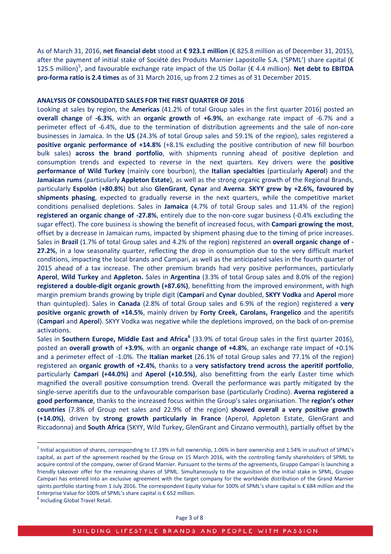As of March 31, 2016, **net financial debt** stood at **€ 923.1 million** (€ 825.8 million as of December 31, 2015), after the payment of initial stake of Société des Produits Marnier Lapostolle S.A. ('SPML') share capital (€ 12[5](#page-2-0).5 million)<sup>5</sup>, and favourable exchange rate impact of the US Dollar (€ 4.4 million). **Net debt to EBITDA pro-forma ratio is 2.4 times** as of 31 March 2016, up from 2.2 times as of 31 December 2015.

#### **ANALYSIS OF CONSOLIDATED SALES FOR THE FIRST QUARTER OF 2016**

Looking at sales by region, the **Americas** (41.2% of total Group sales in the first quarter 2016) posted an **overall change** of **-6.3%**, with an **organic growth** of **+6.9%**, an exchange rate impact of -6.7% and a perimeter effect of -6.4%, due to the termination of distribution agreements and the sale of non-core businesses in Jamaica. In the **US** (24.3% of total Group sales and 59.1% of the region), sales registered a **positive organic performance of +14.8%** (+8.1% excluding the positive contribution of new fill bourbon bulk sales) **across the brand portfolio**, with shipments running ahead of positive depletion and consumption trends and expected to reverse in the next quarters. Key drivers were the **positive performance of Wild Turkey** (mainly core bourbon), the **Italian specialties** (particularly **Aperol**) and the **Jamaican rums** (particularly **Appleton Estate**), as well as the strong organic growth of the Regional Brands, particularly **Espolòn** (**+80.8%**) but also **GlenGrant**, **Cynar** and **Averna**. **SKYY grew by +2.6%, favoured by shipments phasing**, expected to gradually reverse in the next quarters, while the competitive market conditions penalised depletions. Sales in **Jamaica** (4.7% of total Group sales and 11.4% of the region) **registered an organic change of -27.8%**, entirely due to the non-core sugar business (-0.4% excluding the sugar effect). The core business is showing the benefit of increased focus, with **Campari growing the most**, offset by a decrease in Jamaican rums, impacted by shipment phasing due to the timing of price increases. Sales in **Brazil** (1.7% of total Group sales and 4.2% of the region) registered an **overall organic change of - 27.2%**, in a low seasonality quarter, reflecting the drop in consumption due to the very difficult market conditions, impacting the local brands and Campari, as well as the anticipated sales in the fourth quarter of 2015 ahead of a tax increase. The other premium brands had very positive performances, particularly **Aperol**, **Wild Turkey** and **Appleton.** Sales in **Argentina** (3.3% of total Group sales and 8.0% of the region) **registered a double-digit organic growth (+87.6%)**, benefitting from the improved environment, with high margin premium brands growing by triple digit (**Campari** and **Cynar** doubled, **SKYY Vodka** and **Aperol** more than quintupled). Sales in **Canada** (2.8% of total Group sales and 6.9% of the region) registered a **very positive organic growth of +14.5%**, mainly driven by **Forty Creek, Carolans, Frangelico** and the aperitifs (**Campari** and **Aperol**). SKYY Vodka was negative while the depletions improved, on the back of on-premise activations.

Sales in **Southern Europe, Middle East and Africa[6](#page-2-1)** (33.9% of total Group sales in the first quarter 2016), posted an **overall growth** of **+3.9%**, with an **organic change of +4.8%**, an exchange rate impact of +0.1% and a perimeter effect of -1.0%. The **Italian market** (26.1% of total Group sales and 77.1% of the region) registered an **organic growth of +2.4%**, thanks to a **very satisfactory trend across the aperitif portfolio**, particularly **Campari (+44.0%)** and **Aperol (+10.5%)**, also benefitting from the early Easter time which magnified the overall positive consumption trend. Overall the performance was partly mitigated by the single-serve aperitifs due to the unfavourable comparison base (particularly Crodino). **Averna registered a good performance**, thanks to the increased focus within the Group's sales organisation. The **region's other countries** (7.8% of Group net sales and 22.9% of the region) **showed overall a very positive growth (+14.0%)**, driven by **strong growth particularly in France** (Aperol, Appleton Estate, GlenGrant and Riccadonna) and **South Africa** (SKYY, Wild Turkey, GlenGrant and Cinzano vermouth), partially offset by the

<span id="page-2-0"></span><sup>5</sup> Initial acquisition of shares, corresponding to 17.19% in full ownership, 1.06% in bare ownership and 1.54% in usufruct of SPML's capital, as part of the agreement reached by the Group on 15 March 2016, with the controlling family shareholders of SPML to acquire control of the company, owner of Grand Marnier. Pursuant to the terms of the agreements, Gruppo Campari is launching a friendly takeover offer for the remaining shares of SPML. Simultaneously to the acquisition of the initial stake in SPML, Gruppo Campari has entered into an exclusive agreement with the target company for the worldwide distribution of the Grand Marnier spirits portfolio starting from 1 July 2016. The correspondent Equity Value for 100% of SPML's share capital is € 684 million and the Enterprise Value for 100% of SPML's share capital is € 652 million.<br><sup>6</sup> Including Global Travel Retail.

<span id="page-2-1"></span>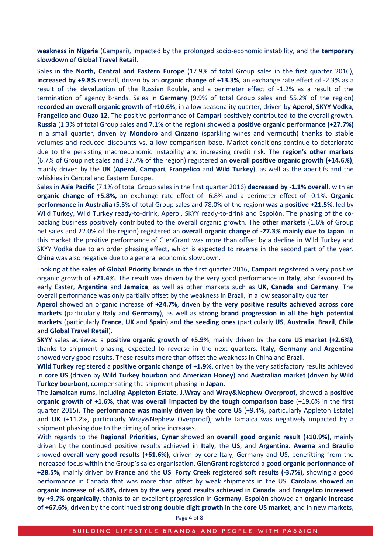**weakness in Nigeria** (Campari), impacted by the prolonged socio-economic instability, and the **temporary slowdown of Global Travel Retail**.

Sales in the **North, Central and Eastern Europe** (17.9% of total Group sales in the first quarter 2016), **increased by +9.8%** overall, driven by an **organic change of +13.3%**, an exchange rate effect of -2.3% as a result of the devaluation of the Russian Rouble, and a perimeter effect of -1.2% as a result of the termination of agency brands. Sales in **Germany** (9.9% of total Group sales and 55.2% of the region) **recorded an overall organic growth of +10.6%**, in a low seasonality quarter, driven by **Aperol**, **SKYY Vodka**, **Frangelico** and **Ouzo 12**. The positive performance of **Campari** positively contributed to the overall growth. **Russia** (1.3% of total Group sales and 7.1% of the region) showed a **positive organic performance (+27.7%)** in a small quarter, driven by **Mondoro** and **Cinzano** (sparkling wines and vermouth) thanks to stable volumes and reduced discounts vs. a low comparison base. Market conditions continue to deteriorate due to the persisting macroeconomic instability and increasing credit risk. The **region's other markets**  (6.7% of Group net sales and 37.7% of the region) registered an **overall positive organic growth (+14.6%)**, mainly driven by the **UK** (**Aperol**, **Campari**, **Frangelico** and **Wild Turkey**), as well as the aperitifs and the whiskies in Central and Eastern Europe.

Sales in **Asia Pacific** (7.1% of total Group sales in the first quarter 2016) **decreased by -1.1% overall**, with an **organic change of +5.8%,** an exchange rate effect of -6.8% and a perimeter effect of -0.1%. **Organic performance in Australia** (5.5% of total Group sales and 78.0% of the region) **was a positive +21.5%**, led by Wild Turkey, Wild Turkey ready-to-drink, Aperol, SKYY ready-to-drink and Espolòn. The phasing of the copacking business positively contributed to the overall organic growth. The **other markets** (1.6% of Group net sales and 22.0% of the region) registered an **overall organic change of -27.3% mainly due to Japan**. In this market the positive performance of GlenGrant was more than offset by a decline in Wild Turkey and SKYY Vodka due to an order phasing effect, which is expected to reverse in the second part of the year. **China** was also negative due to a general economic slowdown.

Looking at the **sales of Global Priority brands** in the first quarter 2016, **Campari** registered a very positive organic growth of **+21.4%**. The result was driven by the very good performance in **Italy**, also favoured by early Easter, **Argentina** and **Jamaica**, as well as other markets such as **UK, Canada** and **Germany**. The overall performance was only partially offset by the weakness in Brazil, in a low seasonality quarter.

**Aperol** showed an organic increase of **+24.7%**, driven by the **very positive results achieved across core markets** (particularly **Italy** and **Germany**), as well as **strong brand progression in all the high potential markets** (particularly **France**, **UK** and **Spain**) and **the seeding ones** (particularly **US**, **Australia**, **Brazil**, **Chile** and **Global Travel Retail**).

**SKYY** sales achieved a **positive organic growth of +5.9%**, mainly driven by the **core US market (+2.6%)**, thanks to shipment phasing, expected to reverse in the next quarters. **Italy**, **Germany** and **Argentina** showed very good results. These results more than offset the weakness in China and Brazil.

**Wild Turkey** registered a **positive organic change of +1.9%**, driven by the very satisfactory results achieved in **core US** (driven by **Wild Turkey bourbon** and **American Honey**) and **Australian market** (driven by **Wild Turkey bourbon**), compensating the shipment phasing in **Japan**.

The **Jamaican rums**, including **Appleton Estate**, **J.Wray** and **Wray&Nephew Overproof**, showed a **positive organic growth of +1.6%, that was overall impacted by the tough comparison base** (+19.6% in the first quarter 2015). **The performance was mainly driven by the core US** (+9.4%, particularly Appleton Estate) and **UK** (+11.2%, particularly Wray&Nephew Overproof), while Jamaica was negatively impacted by a shipment phasing due to the timing of price increases.

With regards to the **Regional Priorities, Cynar** showed an **overall good organic result (+10.9%)**, mainly driven by the continued positive results achieved in **Italy**, the **US**, and **Argentina**. **Averna** and **Braulio** showed **overall very good results (+61.6%)**, driven by core Italy, Germany and US, benefitting from the increased focus within the Group's sales organisation. **GlenGrant** registered a **good organic performance of +28.5%,** mainly driven by **France** and the **US**. **Forty Creek** registered **soft results (-3.7%)**, showing a good performance in Canada that was more than offset by weak shipments in the US. **Carolans showed an organic increase of +6.8%, driven by the very good results achieved in Canada**, and **Frangelico increased by +9.7% organically**, thanks to an excellent progression in **Germany**. **Espolòn** showed an **organic increase of +67.6%**, driven by the continued **strong double digit growth** in the **core US market**, and in new markets,

Page 4 of 8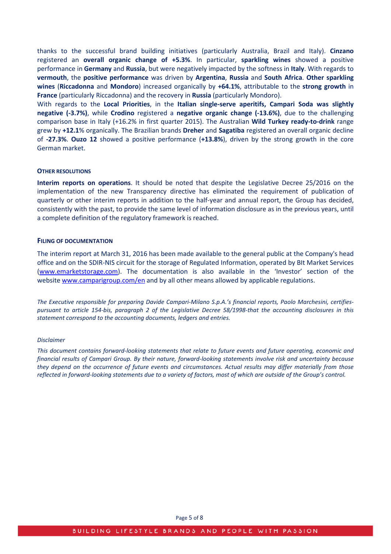thanks to the successful brand building initiatives (particularly Australia, Brazil and Italy). **Cinzano**  registered an **overall organic change of +5.3%**. In particular, **sparkling wines** showed a positive performance in **Germany** and **Russia**, but were negatively impacted by the softness in **Italy**. With regards to **vermouth**, the **positive performance** was driven by **Argentina**, **Russia** and **South Africa**. **Other sparkling wines** (**Riccadonna** and **Mondoro**) increased organically by **+64.1%**, attributable to the **strong growth** in **France** (particularly Riccadonna) and the recovery in **Russia** (particularly Mondoro).

With regards to the **Local Priorities**, in the **Italian single-serve aperitifs, Campari Soda was slightly negative (-3.7%)**, while **Crodino** registered a **negative organic change (-13.6%)**, due to the challenging comparison base in Italy (+16.2% in first quarter 2015). The Australian **Wild Turkey ready-to-drink** range grew by **+12.1**% organically. The Brazilian brands **Dreher** and **Sagatiba** registered an overall organic decline of **-27.3%**. **Ouzo 12** showed a positive performance (**+13.8%**), driven by the strong growth in the core German market.

#### **OTHER RESOLUTIONS**

**Interim reports on operations**. It should be noted that despite the Legislative Decree 25/2016 on the implementation of the new Transparency directive has eliminated the requirement of publication of quarterly or other interim reports in addition to the half-year and annual report, the Group has decided, consistently with the past, to provide the same level of information disclosure as in the previous years, until a complete definition of the regulatory framework is reached.

#### **FILING OF DOCUMENTATION**

The interim report at March 31, 2016 has been made available to the general public at the Company's head office and on the SDIR-NIS circuit for the storage of Regulated Information, operated by BIt Market Services [\(www.emarketstorage.com\)](http://www.emarketstorage.com/). The documentation is also available in the 'Investor' section of the website [www.camparigroup.com/en](http://www.camparigroup.com/en) and by all other means allowed by applicable regulations.

*The Executive responsible for preparing Davide Campari-Milano S.p.A.'s financial reports, Paolo Marchesini, certifiespursuant to article 154-bis, paragraph 2 of the Legislative Decree 58/1998-that the accounting disclosures in this statement correspond to the accounting documents, ledgers and entries.* 

#### *Disclaimer*

*This document contains forward-looking statements that relate to future events and future operating, economic and financial results of Campari Group. By their nature, forward-looking statements involve risk and uncertainty because they depend on the occurrence of future events and circumstances. Actual results may differ materially from those reflected in forward-looking statements due to a variety of factors, most of which are outside of the Group's control.*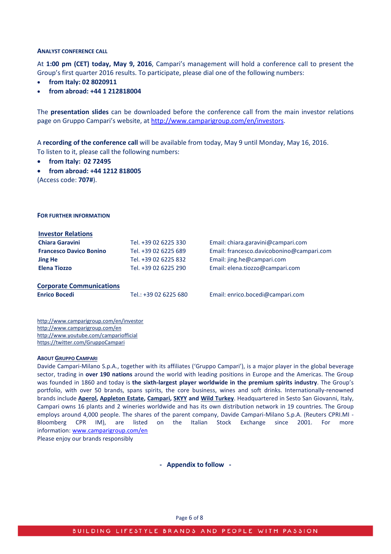#### **ANALYST CONFERENCE CALL**

At **1:00 pm (CET) today, May 9, 2016**, Campari's management will hold a conference call to present the Group's first quarter 2016 results. To participate, please dial one of the following numbers:

- **from Italy: 02 8020911**
- **from abroad: +44 1 212818004**

The **presentation slides** can be downloaded before the conference call from the main investor relations page on Gruppo Campari's website, at [http://www.camparigroup.com/en/investors.](http://www.camparigroup.com/en/investors)

A **recording of the conference call** will be available from today, May 9 until Monday, May 16, 2016. To listen to it, please call the following numbers:

• **from Italy: 02 72495**

**FOR FURTHER INFORMATION**

• **from abroad: +44 1212 818005** (Access code: **707#**).

**Investor Relations Chiara Garavini** Tel. +39 02 6225 330 Email: [chiara.garavini@campari.com](mailto:chiara.garavini@campari.com) **Francesco Davico Bonino** Tel. +39 02 6225 689 Email: francesco.davicobonino@campari.com **Jing He** Tel. +39 02 6225 832 Email: jing.he@campari.com **Elena Tiozzo** Tel. +39 02 6225 290 Email: elena.tiozzo@campari.com **Corporate Communications Enrico Bocedi** Tel.: +39 02 6225 680 Email: [enrico.bocedi@campari.com](mailto:enrico.bocedi@campari.com)

http://www.camparigroup.com/en/investor http://www.camparigroup.com/en http://www.youtube.com/campariofficial <https://twitter.com/GruppoCampari>

#### **ABOU[T GRUPPO CAMPARI](http://www.camparigroup.com/en/index.shtml)**

Davide Campari-Milano S.p.A., together with its affiliates ('Gruppo Campari'), is a major player in the global beverage sector, trading in **over 190 nations** around the world with leading positions in Europe and the Americas. The Group was founded in 1860 and today is **the sixth-largest player worldwide in the premium spirits industry**. The Group's portfolio, with over 50 brands, spans spirits, the core business, wines and soft drinks. Internationally-renowned brands include **[Aperol,](http://www.aperol.com/?http%3A//www.aperol.com/) [Appleton Estate,](http://www.appletonestate.com/) [Campari,](http://www.campari.com/) [SKYY](http://www.skyy.com/) and [Wild Turkey](http://www.wildturkeybourbon.com.au/)**. Headquartered in Sesto San Giovanni, Italy, Campari owns 16 plants and 2 wineries worldwide and has its own distribution network in 19 countries. The Group employs around 4,000 people. The shares of the parent company, Davide Campari-Milano S.p.A. (Reuters CPRI.MI - Bloomberg CPR IM), are listed on the Italian Stock Exchange since 2001. For more information: [www.camparigroup.com/en](http://www.camparigroup.com/en)

Please enjoy our brands responsibly

**- Appendix to follow -**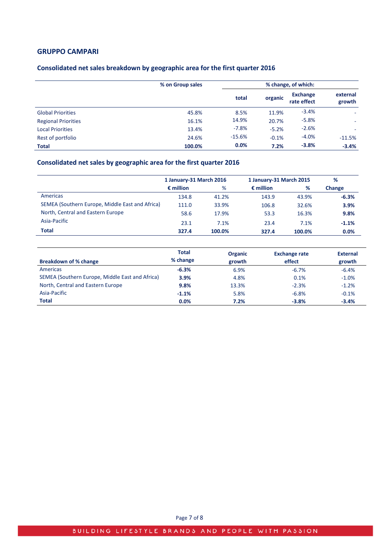## **GRUPPO CAMPARI**

## **Consolidated net sales breakdown by geographic area for the first quarter 2016**

|                            | % on Group sales |          | % change, of which: |                                |                    |  |  |
|----------------------------|------------------|----------|---------------------|--------------------------------|--------------------|--|--|
|                            |                  | total    | organic             | <b>Exchange</b><br>rate effect | external<br>growth |  |  |
| <b>Global Priorities</b>   | 45.8%            | 8.5%     | 11.9%               | $-3.4%$                        |                    |  |  |
| <b>Regional Priorities</b> | 16.1%            | 14.9%    | 20.7%               | $-5.8%$                        |                    |  |  |
| <b>Local Priorities</b>    | 13.4%            | $-7.8%$  | $-5.2%$             | $-2.6%$                        |                    |  |  |
| Rest of portfolio          | 24.6%            | $-15.6%$ | $-0.1%$             | $-4.0%$                        | $-11.5%$           |  |  |
| <b>Total</b>               | 100.0%           | 0.0%     | 7.2%                | $-3.8%$                        | $-3.4%$            |  |  |

# **Consolidated net sales by geographic area for the first quarter 2016**

|                                                 | 1 January-31 March 2016 |        | 1 January-31 March 2015 |        | %       |
|-------------------------------------------------|-------------------------|--------|-------------------------|--------|---------|
|                                                 | $\epsilon$ million      | %      | $\epsilon$ million      | %      | Change  |
| Americas                                        | 134.8                   | 41.2%  | 143.9                   | 43.9%  | $-6.3%$ |
| SEMEA (Southern Europe, Middle East and Africa) | 111.0                   | 33.9%  | 106.8                   | 32.6%  | 3.9%    |
| North, Central and Eastern Europe               | 58.6                    | 17.9%  | 53.3                    | 16.3%  | 9.8%    |
| Asia-Pacific                                    | 23.1                    | 7.1%   | 23.4                    | 7.1%   | $-1.1%$ |
| <b>Total</b>                                    | 327.4                   | 100.0% | 327.4                   | 100.0% | 0.0%    |

| Breakdown of % change                           | <b>Total</b><br>% change | <b>Organic</b><br>growth | <b>Exchange rate</b><br>effect | <b>External</b><br>growth |
|-------------------------------------------------|--------------------------|--------------------------|--------------------------------|---------------------------|
| Americas                                        | $-6.3%$                  | 6.9%                     | $-6.7%$                        | $-6.4%$                   |
| SEMEA (Southern Europe, Middle East and Africa) | 3.9%                     | 4.8%                     | 0.1%                           | $-1.0%$                   |
| North, Central and Eastern Europe               | 9.8%                     | 13.3%                    | $-2.3%$                        | $-1.2%$                   |
| Asia-Pacific                                    | $-1.1%$                  | 5.8%                     | $-6.8%$                        | $-0.1%$                   |
| <b>Total</b>                                    | 0.0%                     | 7.2%                     | $-3.8%$                        | $-3.4%$                   |